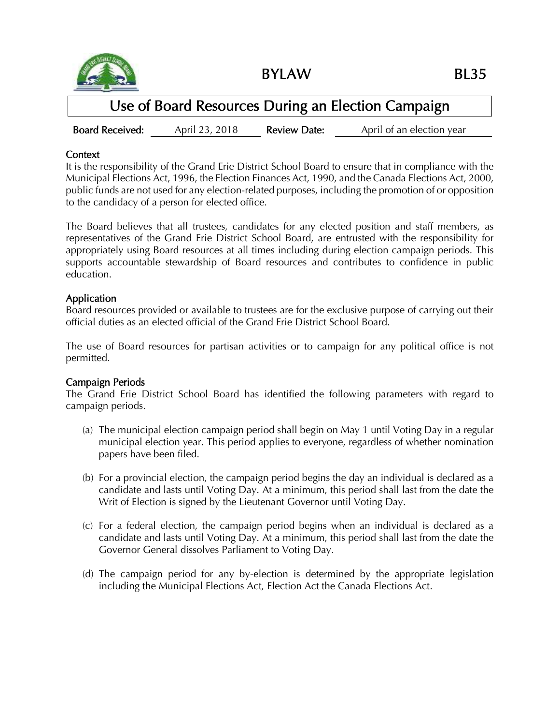

BYLAW BL35

# Use of Board Resources During an Election Campaign

Board Received: April 23, 2018 Review Date: April of an election year

### **Context**

It is the responsibility of the Grand Erie District School Board to ensure that in compliance with the Municipal Elections Act, 1996, the Election Finances Act, 1990, and the Canada Elections Act, 2000, public funds are not used for any election-related purposes, including the promotion of or opposition to the candidacy of a person for elected office.

The Board believes that all trustees, candidates for any elected position and staff members, as representatives of the Grand Erie District School Board, are entrusted with the responsibility for appropriately using Board resources at all times including during election campaign periods. This supports accountable stewardship of Board resources and contributes to confidence in public education.

### Application

Board resources provided or available to trustees are for the exclusive purpose of carrying out their official duties as an elected official of the Grand Erie District School Board.

The use of Board resources for partisan activities or to campaign for any political office is not permitted.

### Campaign Periods

The Grand Erie District School Board has identified the following parameters with regard to campaign periods.

- (a) The municipal election campaign period shall begin on May 1 until Voting Day in a regular municipal election year. This period applies to everyone, regardless of whether nomination papers have been filed.
- (b) For a provincial election, the campaign period begins the day an individual is declared as a candidate and lasts until Voting Day. At a minimum, this period shall last from the date the Writ of Election is signed by the Lieutenant Governor until Voting Day.
- (c) For a federal election, the campaign period begins when an individual is declared as a candidate and lasts until Voting Day. At a minimum, this period shall last from the date the Governor General dissolves Parliament to Voting Day.
- (d) The campaign period for any by-election is determined by the appropriate legislation including the Municipal Elections Act, Election Act the Canada Elections Act.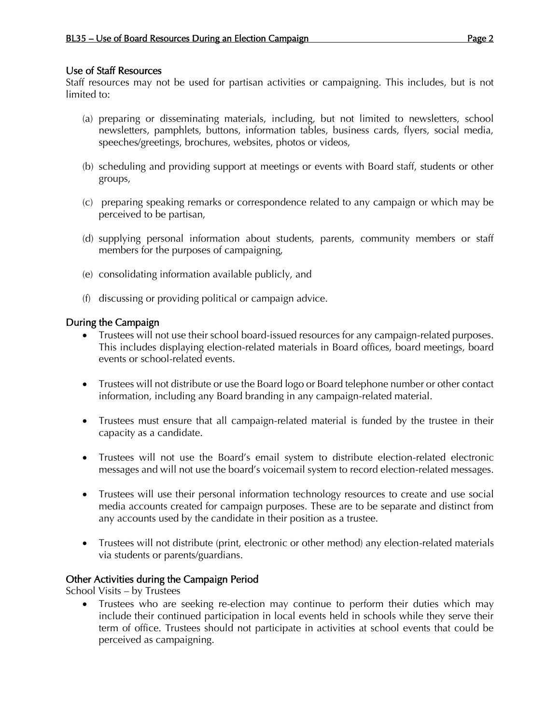### Use of Staff Resources

Staff resources may not be used for partisan activities or campaigning. This includes, but is not limited to:

- (a) preparing or disseminating materials, including, but not limited to newsletters, school newsletters, pamphlets, buttons, information tables, business cards, flyers, social media, speeches/greetings, brochures, websites, photos or videos,
- (b) scheduling and providing support at meetings or events with Board staff, students or other groups,
- (c) preparing speaking remarks or correspondence related to any campaign or which may be perceived to be partisan,
- (d) supplying personal information about students, parents, community members or staff members for the purposes of campaigning,
- (e) consolidating information available publicly, and
- (f) discussing or providing political or campaign advice.

## During the Campaign

- Trustees will not use their school board-issued resources for any campaign-related purposes. This includes displaying election-related materials in Board offices, board meetings, board events or school-related events.
- Trustees will not distribute or use the Board logo or Board telephone number or other contact information, including any Board branding in any campaign-related material.
- Trustees must ensure that all campaign-related material is funded by the trustee in their capacity as a candidate.
- Trustees will not use the Board's email system to distribute election-related electronic messages and will not use the board's voicemail system to record election-related messages.
- Trustees will use their personal information technology resources to create and use social media accounts created for campaign purposes. These are to be separate and distinct from any accounts used by the candidate in their position as a trustee.
- Trustees will not distribute (print, electronic or other method) any election-related materials via students or parents/guardians.

### Other Activities during the Campaign Period

School Visits – by Trustees

 Trustees who are seeking re-election may continue to perform their duties which may include their continued participation in local events held in schools while they serve their term of office. Trustees should not participate in activities at school events that could be perceived as campaigning.